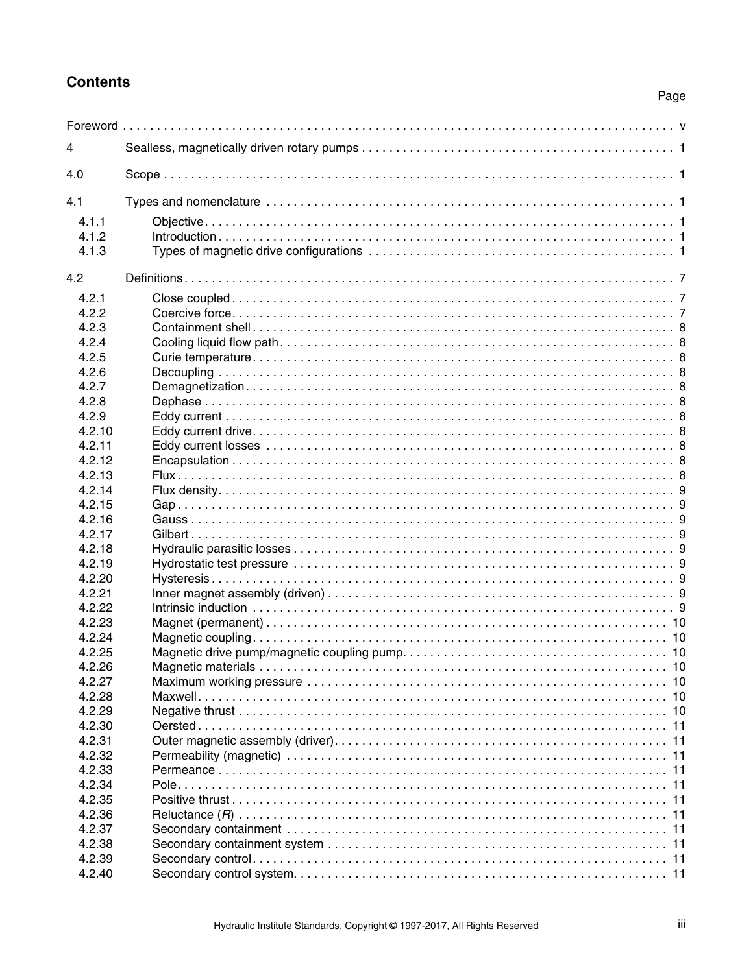## **Contents**

## Page

| 4              |  |
|----------------|--|
| 4.0            |  |
| 4.1            |  |
| 4.1.1<br>4.1.2 |  |
| 4.1.3          |  |
| 4.2            |  |
| 4.2.1          |  |
| 4.2.2          |  |
| 4.2.3          |  |
| 4.2.4          |  |
| 4.2.5          |  |
| 4.2.6          |  |
| 4.2.7          |  |
| 4.2.8          |  |
| 4.2.9          |  |
| 4.2.10         |  |
| 4.2.11         |  |
| 4.2.12         |  |
| 4.2.13         |  |
| 4.2.14         |  |
| 4.2.15         |  |
| 4.2.16         |  |
| 4.2.17         |  |
|                |  |
| 4.2.18         |  |
| 4.2.19         |  |
| 4.2.20         |  |
| 4.2.21         |  |
| 4.2.22         |  |
| 4.2.23         |  |
| 4.2.24         |  |
| 4.2.25         |  |
| 4.2.26         |  |
| 4.2.27         |  |
| 4.2.28         |  |
| 4.2.29         |  |
| 4.2.30         |  |
| 4.2.31         |  |
| 4.2.32         |  |
| 4.2.33         |  |
| 4.2.34         |  |
| 4.2.35         |  |
| 4.2.36         |  |
| 4.2.37         |  |
| 4.2.38         |  |
| 4.2.39         |  |
| 4.2.40         |  |